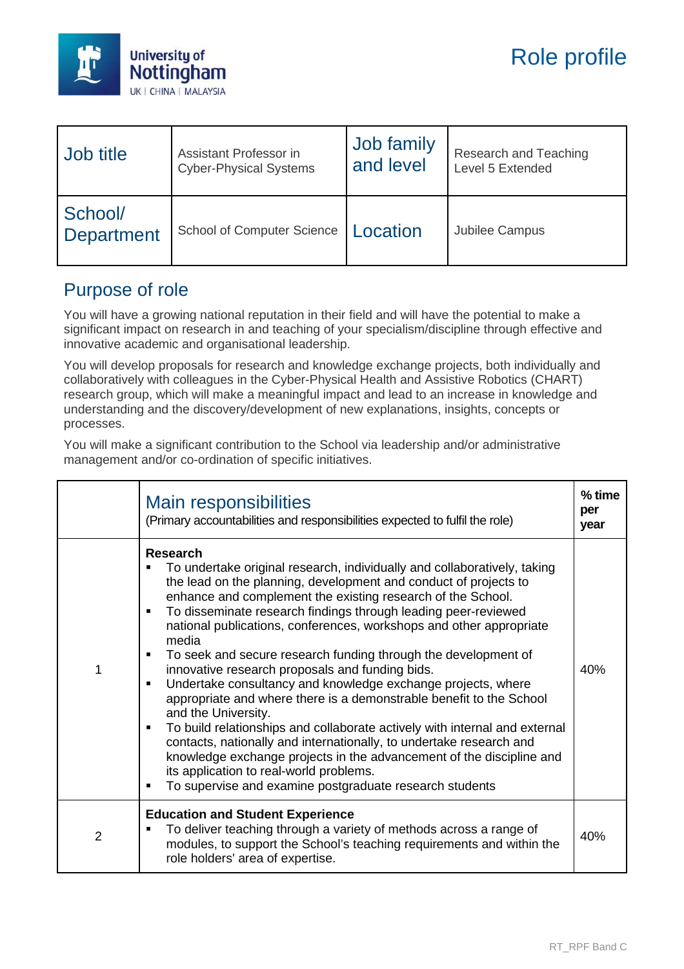

| Job title                    | Assistant Professor in            | Job family | Research and Teaching |
|------------------------------|-----------------------------------|------------|-----------------------|
|                              | <b>Cyber-Physical Systems</b>     | and level  | Level 5 Extended      |
| School/<br><b>Department</b> | <b>School of Computer Science</b> | Location   | Jubilee Campus        |

### Purpose of role

You will have a growing national reputation in their field and will have the potential to make a significant impact on research in and teaching of your specialism/discipline through effective and innovative academic and organisational leadership.

You will develop proposals for research and knowledge exchange projects, both individually and collaboratively with colleagues in the Cyber-Physical Health and Assistive Robotics (CHART) research group, which will make a meaningful impact and lead to an increase in knowledge and understanding and the discovery/development of new explanations, insights, concepts or processes.

You will make a significant contribution to the School via leadership and/or administrative management and/or co-ordination of specific initiatives.

|                | <b>Main responsibilities</b><br>(Primary accountabilities and responsibilities expected to fulfil the role)                                                                                                                                                                                                                                                                                                                                                                                                                                                                                                                                                                                                                                                                                                                                                                                                                                                                                                                                  | $%$ time<br>per<br>year |
|----------------|----------------------------------------------------------------------------------------------------------------------------------------------------------------------------------------------------------------------------------------------------------------------------------------------------------------------------------------------------------------------------------------------------------------------------------------------------------------------------------------------------------------------------------------------------------------------------------------------------------------------------------------------------------------------------------------------------------------------------------------------------------------------------------------------------------------------------------------------------------------------------------------------------------------------------------------------------------------------------------------------------------------------------------------------|-------------------------|
| 1              | <b>Research</b><br>To undertake original research, individually and collaboratively, taking<br>the lead on the planning, development and conduct of projects to<br>enhance and complement the existing research of the School.<br>To disseminate research findings through leading peer-reviewed<br>٠<br>national publications, conferences, workshops and other appropriate<br>media<br>To seek and secure research funding through the development of<br>٠<br>innovative research proposals and funding bids.<br>Undertake consultancy and knowledge exchange projects, where<br>$\blacksquare$<br>appropriate and where there is a demonstrable benefit to the School<br>and the University.<br>To build relationships and collaborate actively with internal and external<br>٠<br>contacts, nationally and internationally, to undertake research and<br>knowledge exchange projects in the advancement of the discipline and<br>its application to real-world problems.<br>To supervise and examine postgraduate research students<br>٠ | 40%                     |
| $\overline{2}$ | <b>Education and Student Experience</b><br>To deliver teaching through a variety of methods across a range of<br>modules, to support the School's teaching requirements and within the<br>role holders' area of expertise.                                                                                                                                                                                                                                                                                                                                                                                                                                                                                                                                                                                                                                                                                                                                                                                                                   | 40%                     |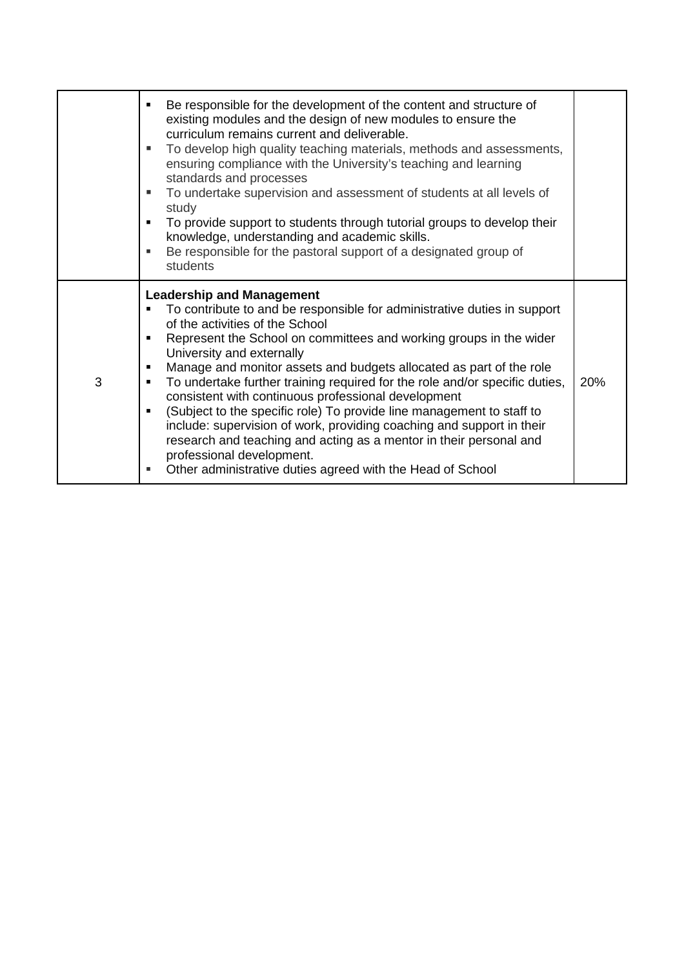|   | Be responsible for the development of the content and structure of<br>existing modules and the design of new modules to ensure the<br>curriculum remains current and deliverable.<br>To develop high quality teaching materials, methods and assessments,<br>ensuring compliance with the University's teaching and learning<br>standards and processes<br>To undertake supervision and assessment of students at all levels of<br>٠<br>study<br>To provide support to students through tutorial groups to develop their<br>٠<br>knowledge, understanding and academic skills.<br>Be responsible for the pastoral support of a designated group of<br>٠<br>students                                                                                                                                    |     |
|---|--------------------------------------------------------------------------------------------------------------------------------------------------------------------------------------------------------------------------------------------------------------------------------------------------------------------------------------------------------------------------------------------------------------------------------------------------------------------------------------------------------------------------------------------------------------------------------------------------------------------------------------------------------------------------------------------------------------------------------------------------------------------------------------------------------|-----|
| 3 | <b>Leadership and Management</b><br>To contribute to and be responsible for administrative duties in support<br>٠<br>of the activities of the School<br>Represent the School on committees and working groups in the wider<br>University and externally<br>Manage and monitor assets and budgets allocated as part of the role<br>٠<br>To undertake further training required for the role and/or specific duties,<br>٠<br>consistent with continuous professional development<br>(Subject to the specific role) To provide line management to staff to<br>٠<br>include: supervision of work, providing coaching and support in their<br>research and teaching and acting as a mentor in their personal and<br>professional development.<br>Other administrative duties agreed with the Head of School | 20% |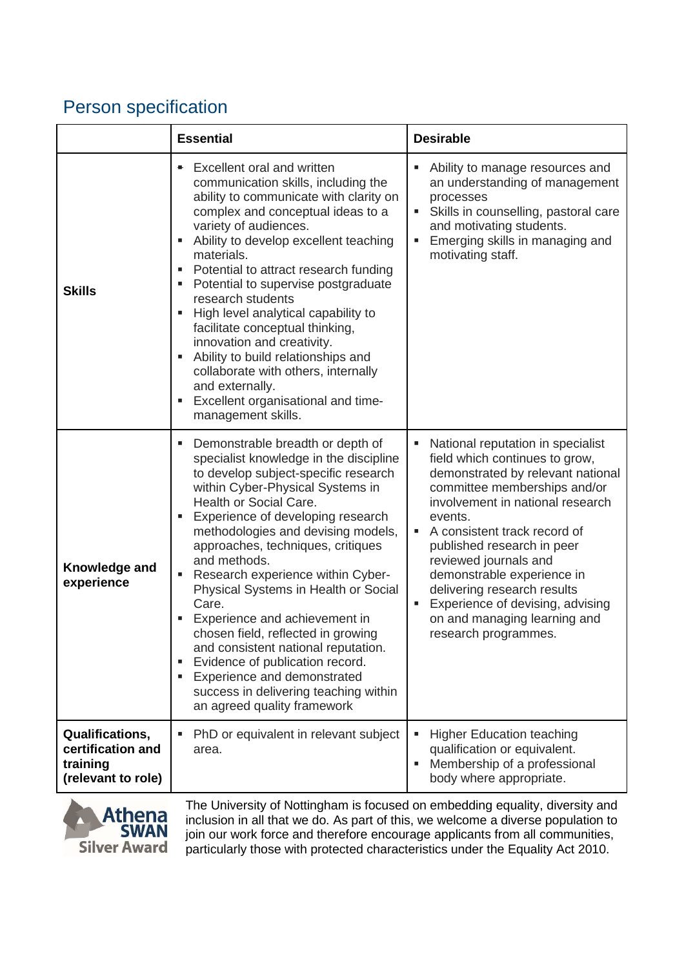# Person specification

|                                                                        | <b>Essential</b>                                                                                                                                                                                                                                                                                                                                                                                                                                                                                                                                                                                                                                                                        | <b>Desirable</b>                                                                                                                                                                                                                                                                                                                                                                                                                             |
|------------------------------------------------------------------------|-----------------------------------------------------------------------------------------------------------------------------------------------------------------------------------------------------------------------------------------------------------------------------------------------------------------------------------------------------------------------------------------------------------------------------------------------------------------------------------------------------------------------------------------------------------------------------------------------------------------------------------------------------------------------------------------|----------------------------------------------------------------------------------------------------------------------------------------------------------------------------------------------------------------------------------------------------------------------------------------------------------------------------------------------------------------------------------------------------------------------------------------------|
| <b>Skills</b>                                                          | Excellent oral and written<br>۰.<br>communication skills, including the<br>ability to communicate with clarity on<br>complex and conceptual ideas to a<br>variety of audiences.<br>Ability to develop excellent teaching<br>٠<br>materials.<br>Potential to attract research funding<br>ш<br>Potential to supervise postgraduate<br>٠<br>research students<br>High level analytical capability to<br>٠<br>facilitate conceptual thinking,<br>innovation and creativity.<br>Ability to build relationships and<br>٠<br>collaborate with others, internally<br>and externally.<br>Excellent organisational and time-<br>٠<br>management skills.                                           | Ability to manage resources and<br>an understanding of management<br>processes<br>Skills in counselling, pastoral care<br>ш<br>and motivating students.<br>Emerging skills in managing and<br>ш<br>motivating staff.                                                                                                                                                                                                                         |
| Knowledge and<br>experience                                            | Demonstrable breadth or depth of<br>٠<br>specialist knowledge in the discipline<br>to develop subject-specific research<br>within Cyber-Physical Systems in<br>Health or Social Care.<br>Experience of developing research<br>٠<br>methodologies and devising models,<br>approaches, techniques, critiques<br>and methods.<br>Research experience within Cyber-<br>٠<br>Physical Systems in Health or Social<br>Care.<br>Experience and achievement in<br>chosen field, reflected in growing<br>and consistent national reputation.<br>Evidence of publication record.<br>٠<br>Experience and demonstrated<br>٠<br>success in delivering teaching within<br>an agreed quality framework | National reputation in specialist<br>field which continues to grow,<br>demonstrated by relevant national<br>committee memberships and/or<br>involvement in national research<br>events.<br>A consistent track record of<br>٠<br>published research in peer<br>reviewed journals and<br>demonstrable experience in<br>delivering research results<br>Experience of devising, advising<br>on and managing learning and<br>research programmes. |
| Qualifications,<br>certification and<br>training<br>(relevant to role) | PhD or equivalent in relevant subject<br>area.                                                                                                                                                                                                                                                                                                                                                                                                                                                                                                                                                                                                                                          | <b>Higher Education teaching</b><br>qualification or equivalent.<br>Membership of a professional<br>٠<br>body where appropriate.                                                                                                                                                                                                                                                                                                             |
|                                                                        |                                                                                                                                                                                                                                                                                                                                                                                                                                                                                                                                                                                                                                                                                         | The University of Nottingham is focused on embedding equality diversity and                                                                                                                                                                                                                                                                                                                                                                  |



The University of Nottingham is focused on embedding equality, diversity and inclusion in all that we do. As part of this, we welcome a diverse population to join our work force and therefore encourage applicants from all communities, particularly those with protected characteristics under the Equality Act 2010.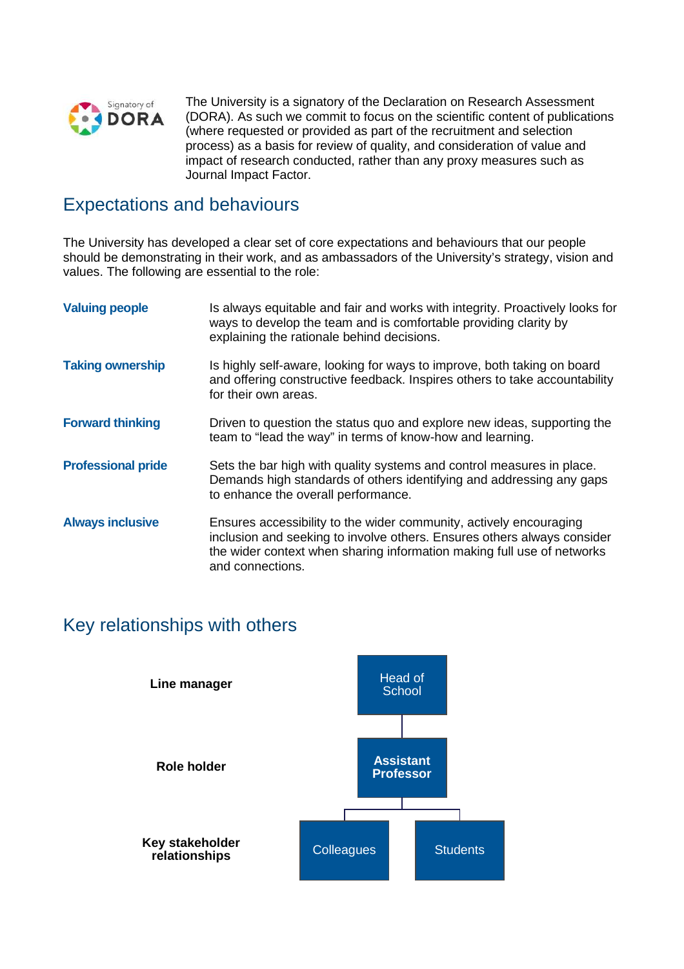

The University is a signatory of the Declaration on Research Assessment (DORA). As such we commit to focus on the scientific content of publications (where requested or provided as part of the recruitment and selection process) as a basis for review of quality, and consideration of value and impact of research conducted, rather than any proxy measures such as Journal Impact Factor.

### Expectations and behaviours

The University has developed a clear set of core expectations and behaviours that our people should be demonstrating in their work, and as ambassadors of the University's strategy, vision and values. The following are essential to the role:

| <b>Valuing people</b>     | Is always equitable and fair and works with integrity. Proactively looks for<br>ways to develop the team and is comfortable providing clarity by<br>explaining the rationale behind decisions.                                              |
|---------------------------|---------------------------------------------------------------------------------------------------------------------------------------------------------------------------------------------------------------------------------------------|
| <b>Taking ownership</b>   | Is highly self-aware, looking for ways to improve, both taking on board<br>and offering constructive feedback. Inspires others to take accountability<br>for their own areas.                                                               |
| <b>Forward thinking</b>   | Driven to question the status quo and explore new ideas, supporting the<br>team to "lead the way" in terms of know-how and learning.                                                                                                        |
| <b>Professional pride</b> | Sets the bar high with quality systems and control measures in place.<br>Demands high standards of others identifying and addressing any gaps<br>to enhance the overall performance.                                                        |
| <b>Always inclusive</b>   | Ensures accessibility to the wider community, actively encouraging<br>inclusion and seeking to involve others. Ensures others always consider<br>the wider context when sharing information making full use of networks<br>and connections. |

# Key relationships with others

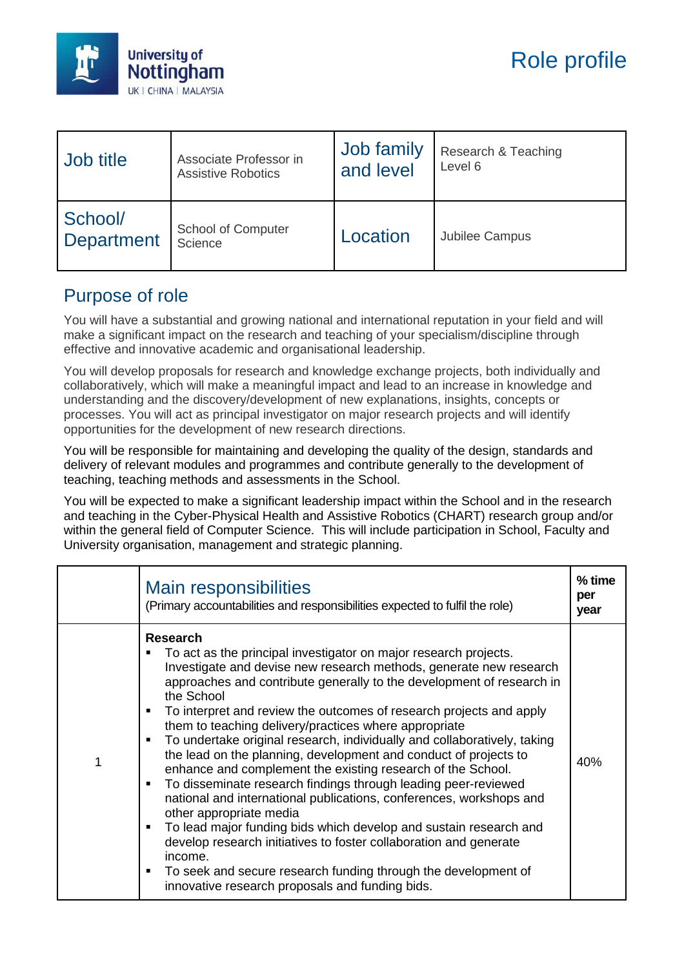

| Job title             | Associate Professor in               | Job family | Research & Teaching |
|-----------------------|--------------------------------------|------------|---------------------|
|                       | <b>Assistive Robotics</b>            | and level  | Level 6             |
| School/<br>Department | <b>School of Computer</b><br>Science | Location   | Jubilee Campus      |

## Purpose of role

You will have a substantial and growing national and international reputation in your field and will make a significant impact on the research and teaching of your specialism/discipline through effective and innovative academic and organisational leadership.

You will develop proposals for research and knowledge exchange projects, both individually and collaboratively, which will make a meaningful impact and lead to an increase in knowledge and understanding and the discovery/development of new explanations, insights, concepts or processes. You will act as principal investigator on major research projects and will identify opportunities for the development of new research directions.

You will be responsible for maintaining and developing the quality of the design, standards and delivery of relevant modules and programmes and contribute generally to the development of teaching, teaching methods and assessments in the School.

You will be expected to make a significant leadership impact within the School and in the research and teaching in the Cyber-Physical Health and Assistive Robotics (CHART) research group and/or within the general field of Computer Science. This will include participation in School, Faculty and University organisation, management and strategic planning.

|   | Main responsibilities<br>(Primary accountabilities and responsibilities expected to fulfil the role)                                                                                                                                                                                                                                                                                                                                                                                                                                                                                                                                                                                                                                                                                                                                                                                                                                                                                                                                                                                                               | % time<br>per<br>year |
|---|--------------------------------------------------------------------------------------------------------------------------------------------------------------------------------------------------------------------------------------------------------------------------------------------------------------------------------------------------------------------------------------------------------------------------------------------------------------------------------------------------------------------------------------------------------------------------------------------------------------------------------------------------------------------------------------------------------------------------------------------------------------------------------------------------------------------------------------------------------------------------------------------------------------------------------------------------------------------------------------------------------------------------------------------------------------------------------------------------------------------|-----------------------|
| 1 | <b>Research</b><br>To act as the principal investigator on major research projects.<br>П<br>Investigate and devise new research methods, generate new research<br>approaches and contribute generally to the development of research in<br>the School<br>To interpret and review the outcomes of research projects and apply<br>$\blacksquare$<br>them to teaching delivery/practices where appropriate<br>To undertake original research, individually and collaboratively, taking<br>٠<br>the lead on the planning, development and conduct of projects to<br>enhance and complement the existing research of the School.<br>To disseminate research findings through leading peer-reviewed<br>$\blacksquare$<br>national and international publications, conferences, workshops and<br>other appropriate media<br>To lead major funding bids which develop and sustain research and<br>٠<br>develop research initiatives to foster collaboration and generate<br>income.<br>To seek and secure research funding through the development of<br>$\blacksquare$<br>innovative research proposals and funding bids. | 40%                   |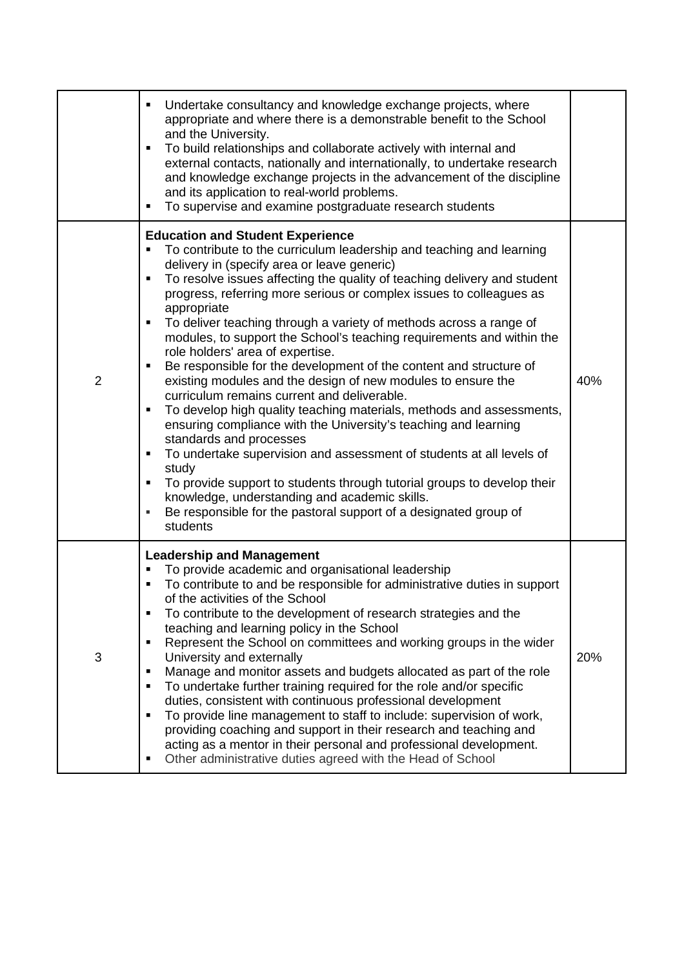|                | Undertake consultancy and knowledge exchange projects, where<br>appropriate and where there is a demonstrable benefit to the School<br>and the University.<br>To build relationships and collaborate actively with internal and<br>$\blacksquare$<br>external contacts, nationally and internationally, to undertake research<br>and knowledge exchange projects in the advancement of the discipline<br>and its application to real-world problems.<br>To supervise and examine postgraduate research students                                                                                                                                                                                                                                                                                                                                                                                                                                                                                                                                                                                                                                                                            |     |
|----------------|--------------------------------------------------------------------------------------------------------------------------------------------------------------------------------------------------------------------------------------------------------------------------------------------------------------------------------------------------------------------------------------------------------------------------------------------------------------------------------------------------------------------------------------------------------------------------------------------------------------------------------------------------------------------------------------------------------------------------------------------------------------------------------------------------------------------------------------------------------------------------------------------------------------------------------------------------------------------------------------------------------------------------------------------------------------------------------------------------------------------------------------------------------------------------------------------|-----|
| $\overline{2}$ | <b>Education and Student Experience</b><br>To contribute to the curriculum leadership and teaching and learning<br>delivery in (specify area or leave generic)<br>To resolve issues affecting the quality of teaching delivery and student<br>٠<br>progress, referring more serious or complex issues to colleagues as<br>appropriate<br>To deliver teaching through a variety of methods across a range of<br>٠<br>modules, to support the School's teaching requirements and within the<br>role holders' area of expertise.<br>Be responsible for the development of the content and structure of<br>existing modules and the design of new modules to ensure the<br>curriculum remains current and deliverable.<br>To develop high quality teaching materials, methods and assessments,<br>ensuring compliance with the University's teaching and learning<br>standards and processes<br>To undertake supervision and assessment of students at all levels of<br>٠<br>study<br>To provide support to students through tutorial groups to develop their<br>knowledge, understanding and academic skills.<br>Be responsible for the pastoral support of a designated group of<br>students | 40% |
| 3              | <b>Leadership and Management</b><br>To provide academic and organisational leadership<br>To contribute to and be responsible for administrative duties in support<br>of the activities of the School<br>To contribute to the development of research strategies and the<br>teaching and learning policy in the School<br>Represent the School on committees and working groups in the wider<br>University and externally<br>Manage and monitor assets and budgets allocated as part of the role<br>To undertake further training required for the role and/or specific<br>duties, consistent with continuous professional development<br>To provide line management to staff to include: supervision of work,<br>providing coaching and support in their research and teaching and<br>acting as a mentor in their personal and professional development.<br>Other administrative duties agreed with the Head of School                                                                                                                                                                                                                                                                     | 20% |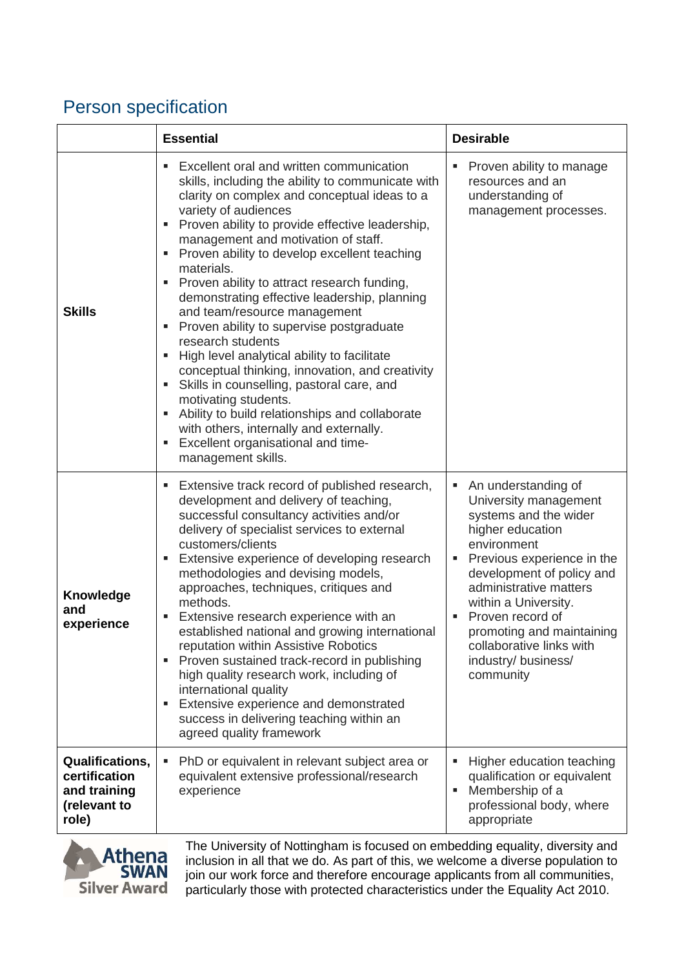# Person specification

|                                                                                  | <b>Essential</b>                                                                                                                                                                                                                                                                                                                                                                                                                                                                                                                                                                                                                                                                                                                                                                                                                                                                  | <b>Desirable</b>                                                                                                                                                                                                                                                                                                                             |
|----------------------------------------------------------------------------------|-----------------------------------------------------------------------------------------------------------------------------------------------------------------------------------------------------------------------------------------------------------------------------------------------------------------------------------------------------------------------------------------------------------------------------------------------------------------------------------------------------------------------------------------------------------------------------------------------------------------------------------------------------------------------------------------------------------------------------------------------------------------------------------------------------------------------------------------------------------------------------------|----------------------------------------------------------------------------------------------------------------------------------------------------------------------------------------------------------------------------------------------------------------------------------------------------------------------------------------------|
| <b>Skills</b>                                                                    | Excellent oral and written communication<br>skills, including the ability to communicate with<br>clarity on complex and conceptual ideas to a<br>variety of audiences<br>Proven ability to provide effective leadership,<br>management and motivation of staff.<br>Proven ability to develop excellent teaching<br>materials.<br>Proven ability to attract research funding,<br>٠<br>demonstrating effective leadership, planning<br>and team/resource management<br>Proven ability to supervise postgraduate<br>٠<br>research students<br>High level analytical ability to facilitate<br>conceptual thinking, innovation, and creativity<br>Skills in counselling, pastoral care, and<br>٠<br>motivating students.<br>Ability to build relationships and collaborate<br>with others, internally and externally.<br>Excellent organisational and time-<br>٠<br>management skills. | Proven ability to manage<br>resources and an<br>understanding of<br>management processes.                                                                                                                                                                                                                                                    |
| <b>Knowledge</b><br>and<br>experience                                            | Extensive track record of published research,<br>٠<br>development and delivery of teaching,<br>successful consultancy activities and/or<br>delivery of specialist services to external<br>customers/clients<br>Extensive experience of developing research<br>methodologies and devising models,<br>approaches, techniques, critiques and<br>methods.<br>Extensive research experience with an<br>established national and growing international<br>reputation within Assistive Robotics<br>Proven sustained track-record in publishing<br>high quality research work, including of<br>international quality<br>Extensive experience and demonstrated<br>٠<br>success in delivering teaching within an<br>agreed quality framework                                                                                                                                                | An understanding of<br>University management<br>systems and the wider<br>higher education<br>environment<br>Previous experience in the<br>D,<br>development of policy and<br>administrative matters<br>within a University.<br>Proven record of<br>promoting and maintaining<br>collaborative links with<br>industry/ business/<br>community |
| <b>Qualifications,</b><br>certification<br>and training<br>(relevant to<br>role) | PhD or equivalent in relevant subject area or<br>٠<br>equivalent extensive professional/research<br>experience                                                                                                                                                                                                                                                                                                                                                                                                                                                                                                                                                                                                                                                                                                                                                                    | Higher education teaching<br>qualification or equivalent<br>Membership of a<br>п<br>professional body, where<br>appropriate                                                                                                                                                                                                                  |



The University of Nottingham is focused on embedding equality, diversity and inclusion in all that we do. As part of this, we welcome a diverse population to join our work force and therefore encourage applicants from all communities, particularly those with protected characteristics under the Equality Act 2010.